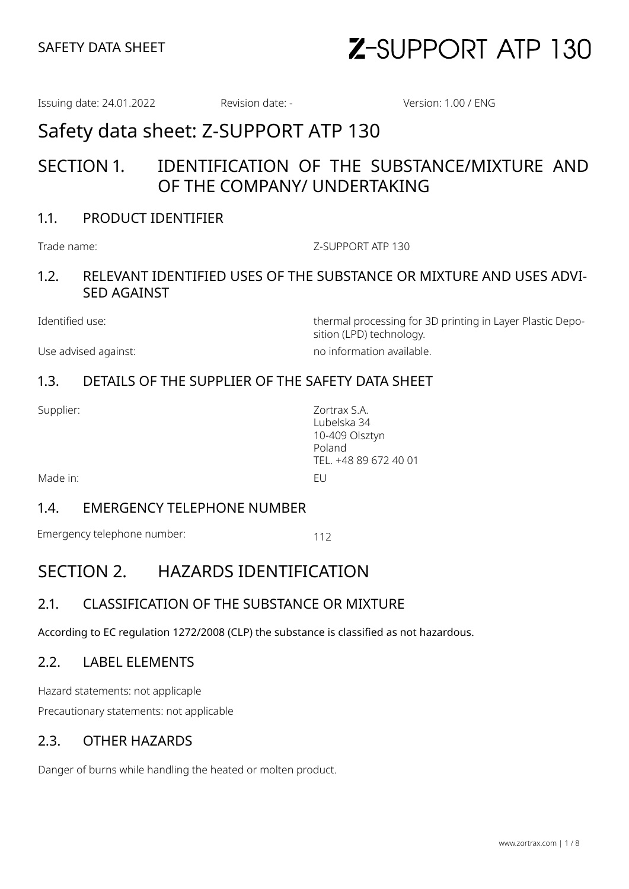## Z-SUPPORT ATP 130

Issuing date: 24.01.2022 Revision date: - Version: 1.00 / ENG

### Safety data sheet: Z-SUPPORT ATP 130

### SECTION 1. IDENTIFICATION OF THE SUBSTANCE/MIXTURE AND OF THE COMPANY/ UNDERTAKING

### 1.1. PRODUCT IDENTIFIER

Trade name:  $Z-SUPPORT$  ATP 130

### 1.2. RELEVANT IDENTIFIED USES OF THE SUBSTANCE OR MIXTURE AND USES ADVI-SED AGAINST

Use advised against: no information available.

Identified use: thermal processing for 3D printing in Layer Plastic Deposition (LPD) technology.

### 1.3. DETAILS OF THE SUPPLIER OF THE SAFETY DATA SHEET

Supplier: Zortrax S.A. Lubelska 34 10-409 Olsztyn Poland TEL. +48 89 672 40 01

Made in: EU

### 1.4. EMERGENCY TELEPHONE NUMBER

Emergency telephone number: 112

### SECTION 2. HAZARDS IDENTIFICATION

### 2.1. CLASSIFICATION OF THE SUBSTANCE OR MIXTURE

According to EC regulation 1272/2008 (CLP) the substance is classified as not hazardous.

### 2.2. LABEL ELEMENTS

Hazard statements: not applicaple

Precautionary statements: not applicable

### 2.3. OTHER HAZARDS

Danger of burns while handling the heated or molten product.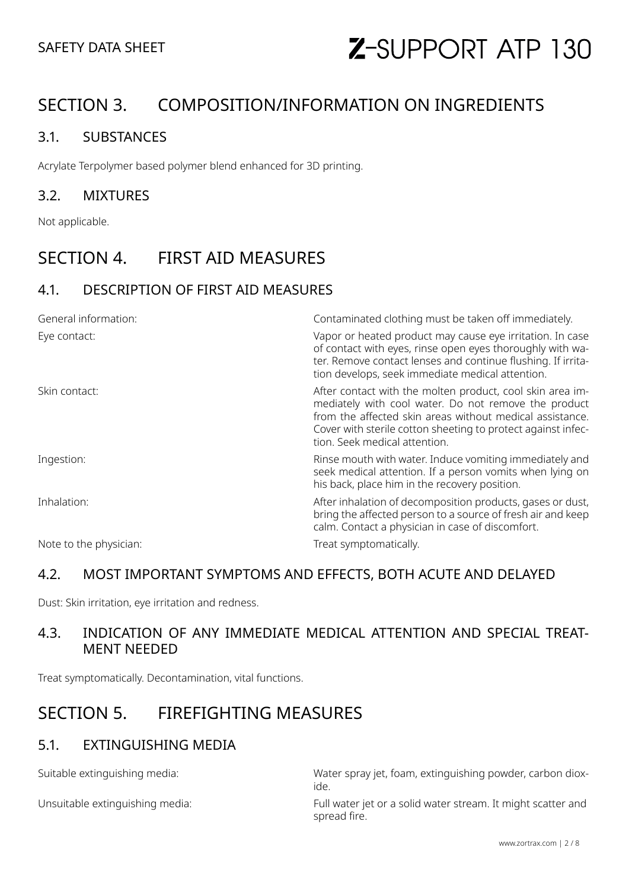### SECTION 3. COMPOSITION/INFORMATION ON INGREDIENTS

### 3.1. SUBSTANCES

Acrylate Terpolymer based polymer blend enhanced for 3D printing.

### 3.2. MIXTURES

Not applicable.

### SECTION 4. FIRST AID MEASURES

### 4.1. DESCRIPTION OF FIRST AID MEASURES

| General information:   | Contaminated clothing must be taken off immediately.                                                                                                                                                                                                                           |
|------------------------|--------------------------------------------------------------------------------------------------------------------------------------------------------------------------------------------------------------------------------------------------------------------------------|
| Eye contact:           | Vapor or heated product may cause eye irritation. In case<br>of contact with eyes, rinse open eyes thoroughly with wa-<br>ter. Remove contact lenses and continue flushing. If irrita-<br>tion develops, seek immediate medical attention.                                     |
| Skin contact:          | After contact with the molten product, cool skin area im-<br>mediately with cool water. Do not remove the product<br>from the affected skin areas without medical assistance.<br>Cover with sterile cotton sheeting to protect against infec-<br>tion. Seek medical attention. |
| Ingestion:             | Rinse mouth with water. Induce vomiting immediately and<br>seek medical attention. If a person vomits when lying on<br>his back, place him in the recovery position.                                                                                                           |
| Inhalation:            | After inhalation of decomposition products, gases or dust,<br>bring the affected person to a source of fresh air and keep<br>calm. Contact a physician in case of discomfort.                                                                                                  |
| Note to the physician: | Treat symptomatically.                                                                                                                                                                                                                                                         |

### 4.2. MOST IMPORTANT SYMPTOMS AND EFFECTS, BOTH ACUTE AND DELAYED

Dust: Skin irritation, eye irritation and redness.

### 4.3. INDICATION OF ANY IMMEDIATE MEDICAL ATTENTION AND SPECIAL TREAT-MENT NEEDED

Treat symptomatically. Decontamination, vital functions.

### SECTION 5. FIREFIGHTING MEASURES

### 5.1. EXTINGUISHING MEDIA

Suitable extinguishing media: Water spray jet, foam, extinguishing powder, carbon dioxide.

Unsuitable extinguishing media: Full water jet or a solid water stream. It might scatter and spread fire.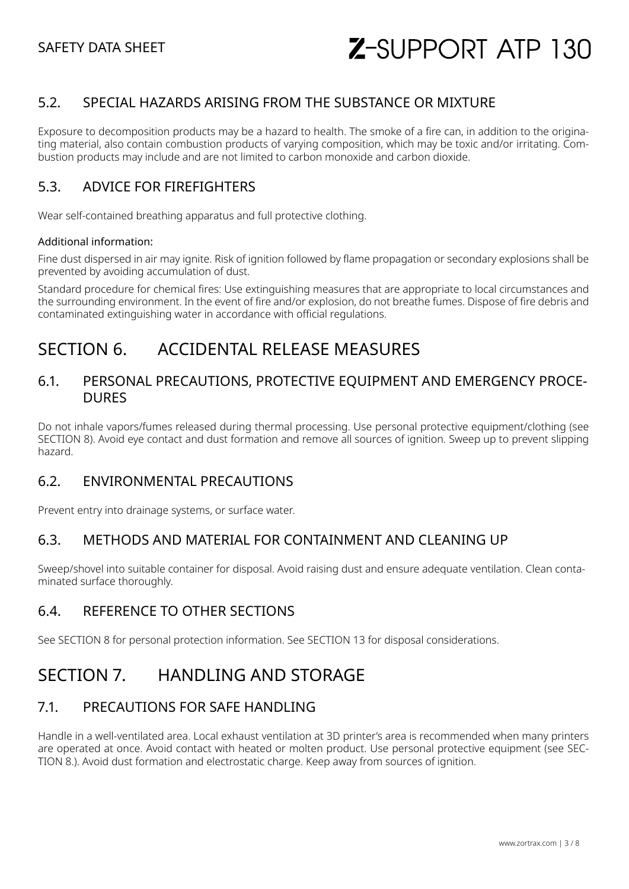# Z-SUPPORT ATP 130

### 5.2. SPECIAL HAZARDS ARISING FROM THE SUBSTANCE OR MIXTURE

Exposure to decomposition products may be a hazard to health. The smoke of a fire can, in addition to the originating material, also contain combustion products of varying composition, which may be toxic and/or irritating. Combustion products may include and are not limited to carbon monoxide and carbon dioxide.

### 5.3. ADVICE FOR FIREFIGHTERS

Wear self-contained breathing apparatus and full protective clothing.

#### Additional information:

Fine dust dispersed in air may ignite. Risk of ignition followed by flame propagation or secondary explosions shall be prevented by avoiding accumulation of dust.

Standard procedure for chemical fires: Use extinguishing measures that are appropriate to local circumstances and the surrounding environment. In the event of fire and/or explosion, do not breathe fumes. Dispose of fire debris and contaminated extinguishing water in accordance with official regulations.

### SECTION 6. ACCIDENTAL RELEASE MEASURES

### 6.1. PERSONAL PRECAUTIONS, PROTECTIVE EQUIPMENT AND EMERGENCY PROCE-DURES

Do not inhale vapors/fumes released during thermal processing. Use personal protective equipment/clothing (see SECTION 8). Avoid eye contact and dust formation and remove all sources of ignition. Sweep up to prevent slipping hazard.

### 6.2. ENVIRONMENTAL PRECAUTIONS

Prevent entry into drainage systems, or surface water.

### 6.3. METHODS AND MATERIAL FOR CONTAINMENT AND CLEANING UP

Sweep/shovel into suitable container for disposal. Avoid raising dust and ensure adequate ventilation. Clean contaminated surface thoroughly.

### 6.4. REFERENCE TO OTHER SECTIONS

See SECTION 8 for personal protection information. See SECTION 13 for disposal considerations.

### SECTION 7. HANDLING AND STORAGE

### 7.1. PRECAUTIONS FOR SAFE HANDLING

Handle in a well-ventilated area. Local exhaust ventilation at 3D printer's area is recommended when many printers are operated at once. Avoid contact with heated or molten product. Use personal protective equipment (see SEC-TION 8.). Avoid dust formation and electrostatic charge. Keep away from sources of ignition.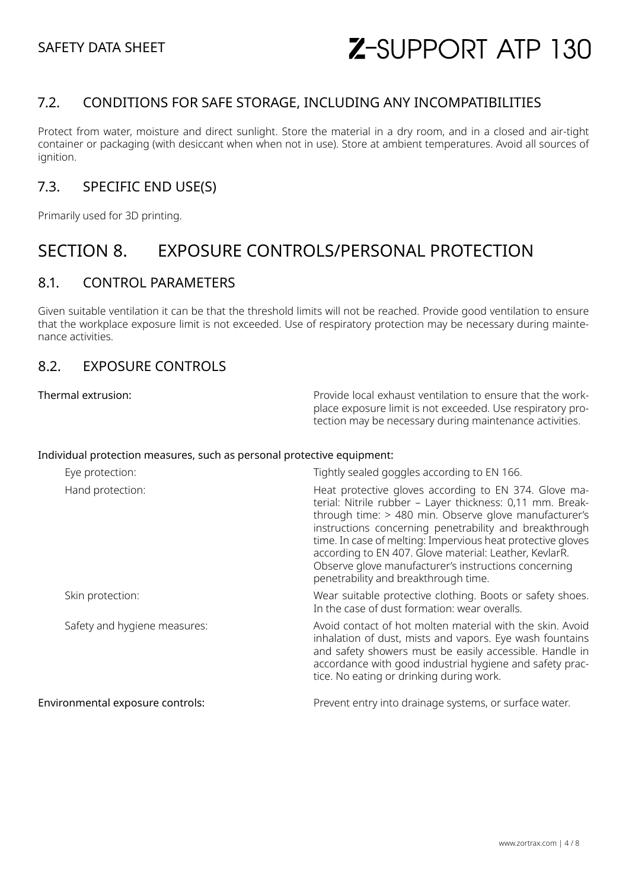## Z-SUPPORT ATP 130

### 7.2. CONDITIONS FOR SAFE STORAGE, INCLUDING ANY INCOMPATIBILITIES

Protect from water, moisture and direct sunlight. Store the material in a dry room, and in a closed and air-tight container or packaging (with desiccant when when not in use). Store at ambient temperatures. Avoid all sources of ignition.

### 7.3. SPECIFIC END USE(S)

Primarily used for 3D printing.

### SECTION 8. EXPOSURE CONTROLS/PERSONAL PROTECTION

#### 8.1. CONTROL PARAMETERS

Given suitable ventilation it can be that the threshold limits will not be reached. Provide good ventilation to ensure that the workplace exposure limit is not exceeded. Use of respiratory protection may be necessary during maintenance activities.

### 8.2. EXPOSURE CONTROLS

Thermal extrusion: Provide local exhaust ventilation to ensure that the workplace exposure limit is not exceeded. Use respiratory protection may be necessary during maintenance activities.

#### Individual protection measures, such as personal protective equipment:

| Eye protection:                  | Tightly sealed goggles according to EN 166.                                                                                                                                                                                                                                                                                                                                                                                                                    |
|----------------------------------|----------------------------------------------------------------------------------------------------------------------------------------------------------------------------------------------------------------------------------------------------------------------------------------------------------------------------------------------------------------------------------------------------------------------------------------------------------------|
| Hand protection:                 | Heat protective gloves according to EN 374. Glove ma-<br>terial: Nitrile rubber - Layer thickness: 0,11 mm. Break-<br>through time: > 480 min. Observe glove manufacturer's<br>instructions concerning penetrability and breakthrough<br>time. In case of melting: Impervious heat protective gloves<br>according to EN 407. Glove material: Leather, KevlarR.<br>Observe glove manufacturer's instructions concerning<br>penetrability and breakthrough time. |
| Skin protection:                 | Wear suitable protective clothing. Boots or safety shoes.<br>In the case of dust formation: wear overalls.                                                                                                                                                                                                                                                                                                                                                     |
| Safety and hygiene measures:     | Avoid contact of hot molten material with the skin. Avoid<br>inhalation of dust, mists and vapors. Eye wash fountains<br>and safety showers must be easily accessible. Handle in<br>accordance with good industrial hygiene and safety prac-<br>tice. No eating or drinking during work.                                                                                                                                                                       |
| Environmental exposure controls: | Prevent entry into drainage systems, or surface water.                                                                                                                                                                                                                                                                                                                                                                                                         |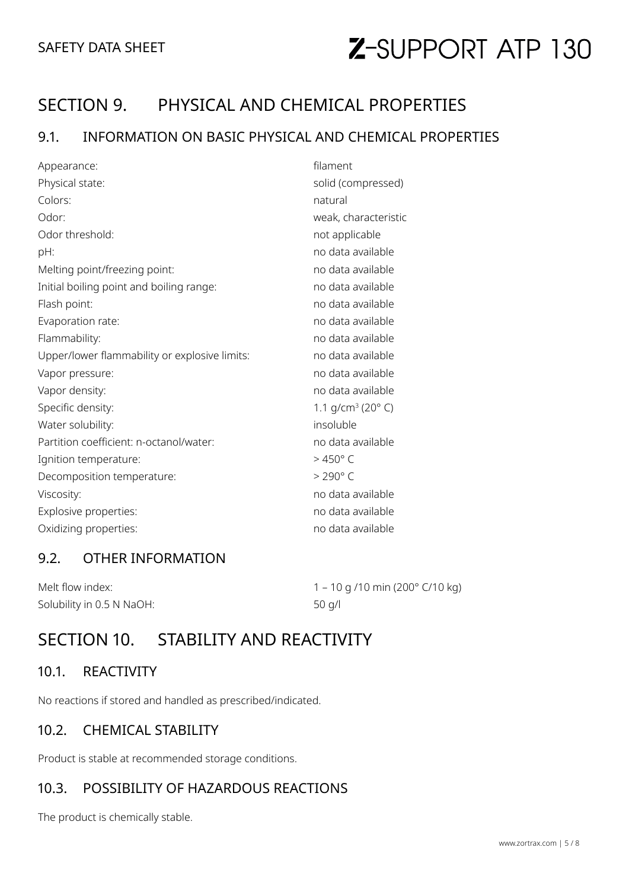## SECTION 9. PHYSICAL AND CHEMICAL PROPERTIES

### 9.1. INFORMATION ON BASIC PHYSICAL AND CHEMICAL PROPERTIES

| Appearance:                                   | filament                                |
|-----------------------------------------------|-----------------------------------------|
| Physical state:                               | solid (compressed)                      |
| Colors:                                       | natural                                 |
| Odor:                                         | weak, characteristic                    |
| Odor threshold:                               | not applicable                          |
| pH:                                           | no data available                       |
| Melting point/freezing point:                 | no data available                       |
| Initial boiling point and boiling range:      | no data available                       |
| Flash point:                                  | no data available                       |
| Evaporation rate:                             | no data available                       |
| Flammability:                                 | no data available                       |
| Upper/lower flammability or explosive limits: | no data available                       |
| Vapor pressure:                               | no data available                       |
| Vapor density:                                | no data available                       |
| Specific density:                             | 1.1 g/cm <sup>3</sup> (20 $^{\circ}$ C) |
| Water solubility:                             | insoluble                               |
| Partition coefficient: n-octanol/water:       | no data available                       |
| Ignition temperature:                         | $>450^{\circ}$ C                        |
| Decomposition temperature:                    | $>$ 290 $^{\circ}$ C                    |
| Viscosity:                                    | no data available                       |
| Explosive properties:                         | no data available                       |
| Oxidizing properties:                         | no data available                       |

### 9.2. OTHER INFORMATION

| Melt flow index:          | 1 – 10 g /10 min (200 $^{\circ}$ C/10 kg) |
|---------------------------|-------------------------------------------|
| Solubility in 0.5 N NaOH: | 50 a/l                                    |

### SECTION 10. STABILITY AND REACTIVITY

### 10.1. REACTIVITY

No reactions if stored and handled as prescribed/indicated.

### 10.2. CHEMICAL STABILITY

Product is stable at recommended storage conditions.

### 10.3. POSSIBILITY OF HAZARDOUS REACTIONS

The product is chemically stable.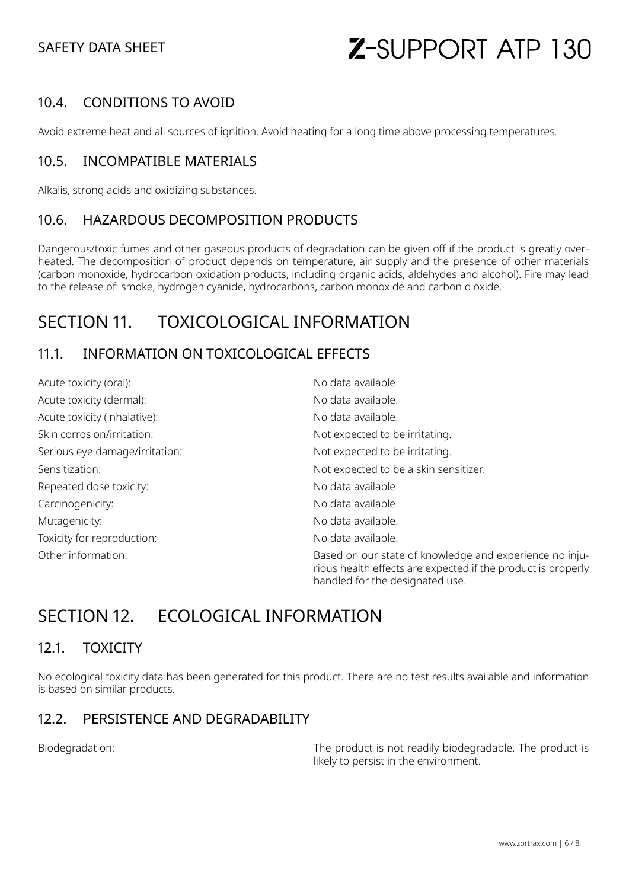### SAFETY DATA SHEET

# Z-SUPPORT ATP 130

### 10.4. CONDITIONS TO AVOID

Avoid extreme heat and all sources of ignition. Avoid heating for a long time above processing temperatures.

### 10.5. INCOMPATIBLE MATERIALS

Alkalis, strong acids and oxidizing substances.

### 10.6. HAZARDOUS DECOMPOSITION PRODUCTS

Dangerous/toxic fumes and other gaseous products of degradation can be given off if the product is greatly overheated. The decomposition of product depends on temperature, air supply and the presence of other materials (carbon monoxide, hydrocarbon oxidation products, including organic acids, aldehydes and alcohol). Fire may lead to the release of: smoke, hydrogen cyanide, hydrocarbons, carbon monoxide and carbon dioxide.

### SECTION 11. TOXICOLOGICAL INFORMATION

### 11.1. INFORMATION ON TOXICOLOGICAL EFFECTS

| Acute toxicity (oral):         | No data available.                                                                                                                                         |
|--------------------------------|------------------------------------------------------------------------------------------------------------------------------------------------------------|
| Acute toxicity (dermal):       | No data available.                                                                                                                                         |
| Acute toxicity (inhalative):   | No data available.                                                                                                                                         |
| Skin corrosion/irritation:     | Not expected to be irritating.                                                                                                                             |
| Serious eye damage/irritation: | Not expected to be irritating.                                                                                                                             |
| Sensitization:                 | Not expected to be a skin sensitizer.                                                                                                                      |
| Repeated dose toxicity:        | No data available.                                                                                                                                         |
| Carcinogenicity:               | No data available.                                                                                                                                         |
| Mutagenicity:                  | No data available.                                                                                                                                         |
| Toxicity for reproduction:     | No data available.                                                                                                                                         |
| Other information:             | Based on our state of knowledge and experience no inju-<br>rious health effects are expected if the product is properly<br>handled for the designated use. |

### SECTION 12. ECOLOGICAL INFORMATION

#### 12.1. TOXICITY

No ecological toxicity data has been generated for this product. There are no test results available and information is based on similar products.

### 12.2. PERSISTENCE AND DEGRADABILITY

Biodegradation: The product is not readily biodegradable. The product is likely to persist in the environment.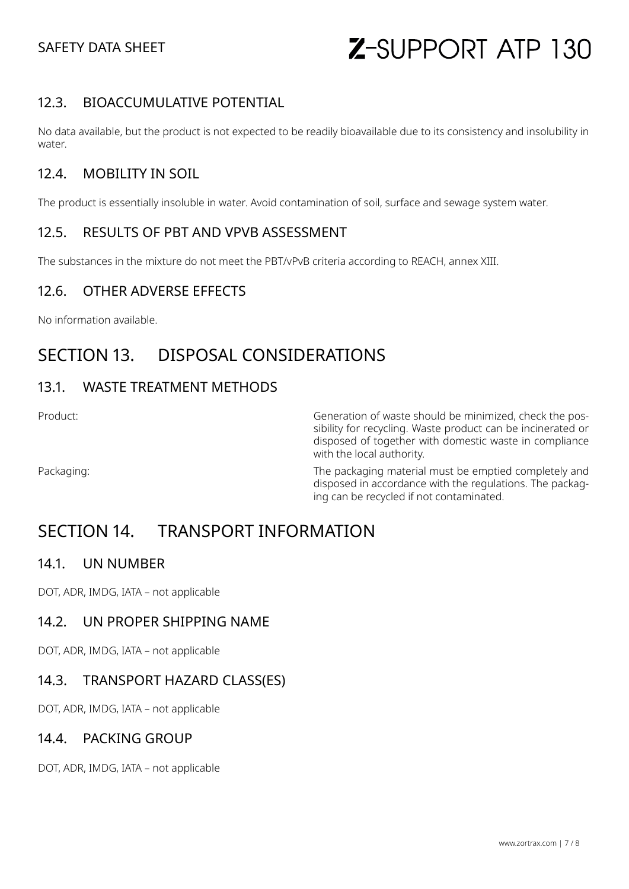### SAFETY DATA SHEET

## Z-SUPPORT ATP 130

### 12.3. BIOACCUMULATIVE POTENTIAL

No data available, but the product is not expected to be readily bioavailable due to its consistency and insolubility in water.

### 12.4. MOBILITY IN SOIL

The product is essentially insoluble in water. Avoid contamination of soil, surface and sewage system water.

#### 12.5. RESULTS OF PBT AND VPVB ASSESSMENT

The substances in the mixture do not meet the PBT/vPvB criteria according to REACH, annex XIII.

### 12.6. OTHER ADVERSE EFFECTS

No information available.

### SECTION 13. DISPOSAL CONSIDERATIONS

### 13.1. WASTE TREATMENT METHODS

Product: example a metal of the Generation of waste should be minimized, check the possibility for recycling. Waste product can be incinerated or disposed of together with domestic waste in compliance with the local authority.

Packaging: The packaging material must be emptied completely and disposed in accordance with the regulations. The packaging can be recycled if not contaminated.

### SECTION 14. TRANSPORT INFORMATION

#### 14.1. UN NUMBER

DOT, ADR, IMDG, IATA – not applicable

### 14.2. UN PROPER SHIPPING NAME

DOT, ADR, IMDG, IATA – not applicable

#### 14.3. TRANSPORT HAZARD CLASS(ES)

DOT, ADR, IMDG, IATA – not applicable

#### 14.4. PACKING GROUP

DOT, ADR, IMDG, IATA – not applicable